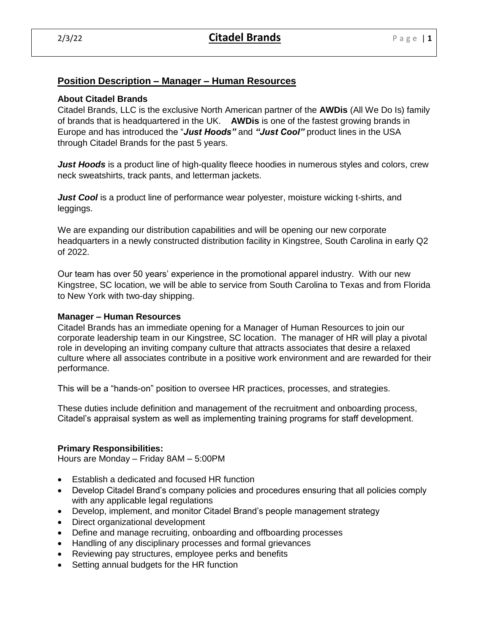# **Position Description – Manager – Human Resources**

## **About Citadel Brands**

Citadel Brands, LLC is the exclusive North American partner of the **AWDis** (All We Do Is) family of brands that is headquartered in the UK. **AWDis** is one of the fastest growing brands in Europe and has introduced the "*Just Hoods"* and *"Just Cool"* product lines in the USA through Citadel Brands for the past 5 years.

*Just Hoods* is a product line of high-quality fleece hoodies in numerous styles and colors, crew neck sweatshirts, track pants, and letterman jackets.

*Just Cool* is a product line of performance wear polyester, moisture wicking t-shirts, and leggings.

We are expanding our distribution capabilities and will be opening our new corporate headquarters in a newly constructed distribution facility in Kingstree, South Carolina in early Q2 of 2022.

Our team has over 50 years' experience in the promotional apparel industry. With our new Kingstree, SC location, we will be able to service from South Carolina to Texas and from Florida to New York with two-day shipping.

### **Manager – Human Resources**

Citadel Brands has an immediate opening for a Manager of Human Resources to join our corporate leadership team in our Kingstree, SC location. The manager of HR will play a pivotal role in developing an inviting company culture that attracts associates that desire a relaxed culture where all associates contribute in a positive work environment and are rewarded for their performance.

This will be a "hands-on" position to oversee HR practices, processes, and strategies.

These duties include definition and management of the recruitment and onboarding process, Citadel's appraisal system as well as implementing training programs for staff development.

### **Primary Responsibilities:**

Hours are Monday – Friday 8AM – 5:00PM

- Establish a dedicated and focused HR function
- Develop Citadel Brand's company policies and procedures ensuring that all policies comply with any applicable legal regulations
- Develop, implement, and monitor Citadel Brand's people management strategy
- Direct organizational development
- Define and manage recruiting, onboarding and offboarding processes
- Handling of any disciplinary processes and formal grievances
- Reviewing pay structures, employee perks and benefits
- Setting annual budgets for the HR function